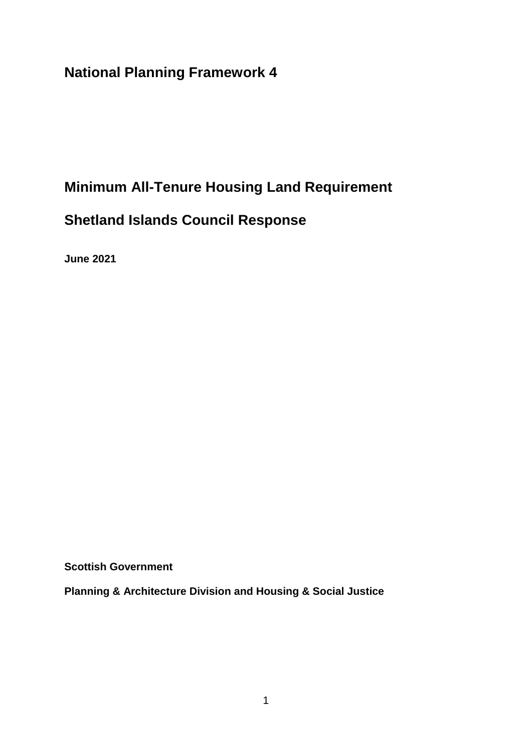**National Planning Framework 4**

# **Minimum All-Tenure Housing Land Requirement**

# **Shetland Islands Council Response**

**June 2021**

**Scottish Government**

**Planning & Architecture Division and Housing & Social Justice**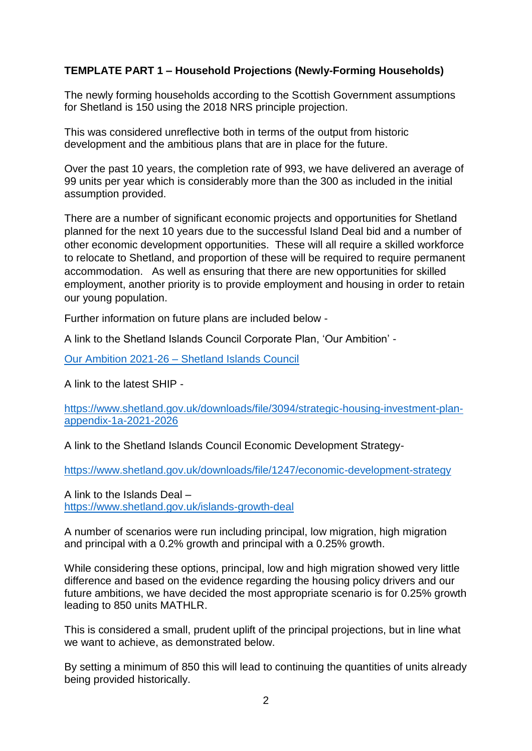## **TEMPLATE PART 1 – Household Projections (Newly-Forming Households)**

The newly forming households according to the Scottish Government assumptions for Shetland is 150 using the 2018 NRS principle projection.

This was considered unreflective both in terms of the output from historic development and the ambitious plans that are in place for the future.

Over the past 10 years, the completion rate of 993, we have delivered an average of 99 units per year which is considerably more than the 300 as included in the initial assumption provided.

There are a number of significant economic projects and opportunities for Shetland planned for the next 10 years due to the successful Island Deal bid and a number of other economic development opportunities. These will all require a skilled workforce to relocate to Shetland, and proportion of these will be required to require permanent accommodation. As well as ensuring that there are new opportunities for skilled employment, another priority is to provide employment and housing in order to retain our young population.

Further information on future plans are included below -

A link to the Shetland Islands Council Corporate Plan, 'Our Ambition' -

Our Ambition 2021-26 – [Shetland Islands Council](https://www.shetland.gov.uk/ourambition)

A link to the latest SHIP -

[https://www.shetland.gov.uk/downloads/file/3094/strategic-housing-investment-plan](https://www.shetland.gov.uk/downloads/file/3094/strategic-housing-investment-plan-appendix-1a-2021-2026)[appendix-1a-2021-2026](https://www.shetland.gov.uk/downloads/file/3094/strategic-housing-investment-plan-appendix-1a-2021-2026)

A link to the Shetland Islands Council Economic Development Strategy-

<https://www.shetland.gov.uk/downloads/file/1247/economic-development-strategy>

A link to the Islands Deal – <https://www.shetland.gov.uk/islands-growth-deal>

A number of scenarios were run including principal, low migration, high migration and principal with a 0.2% growth and principal with a 0.25% growth.

While considering these options, principal, low and high migration showed very little difference and based on the evidence regarding the housing policy drivers and our future ambitions, we have decided the most appropriate scenario is for 0.25% growth leading to 850 units MATHLR.

This is considered a small, prudent uplift of the principal projections, but in line what we want to achieve, as demonstrated below.

By setting a minimum of 850 this will lead to continuing the quantities of units already being provided historically.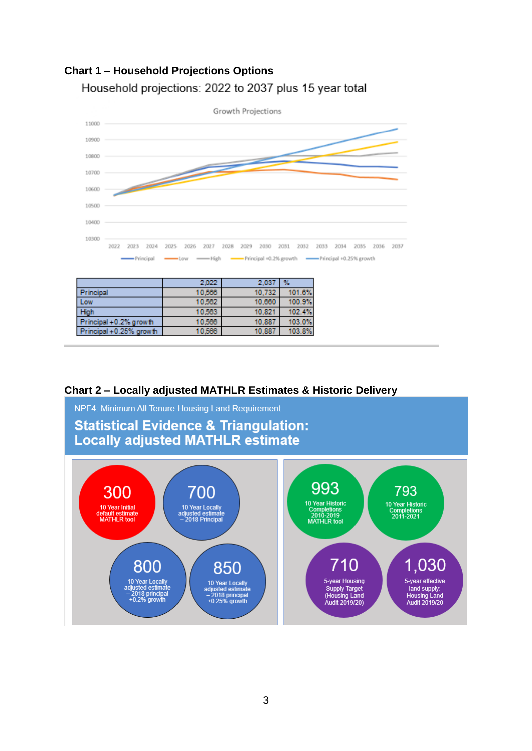# **Chart 1 – Household Projections Options**  Household projections: 2022 to 2037 plus 15 year total



## **Chart 2 – Locally adjusted MATHLR Estimates & Historic Delivery**

10,566

Principal +0.25% growth



10,887

103.8%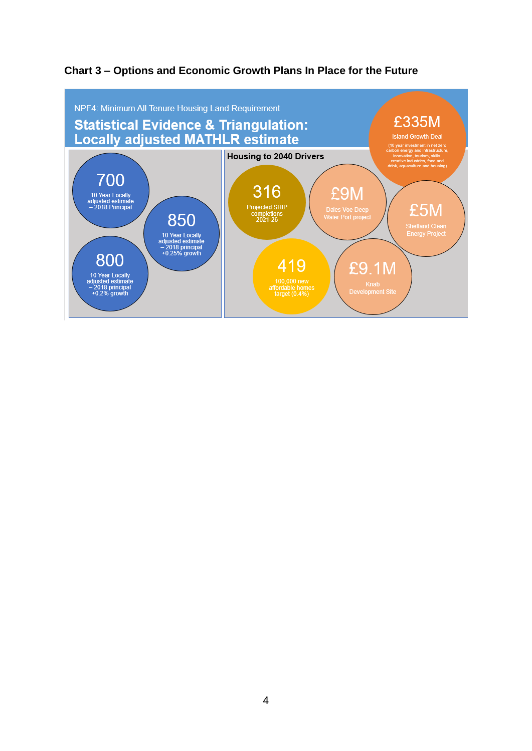

# **Chart 3 – Options and Economic Growth Plans In Place for the Future**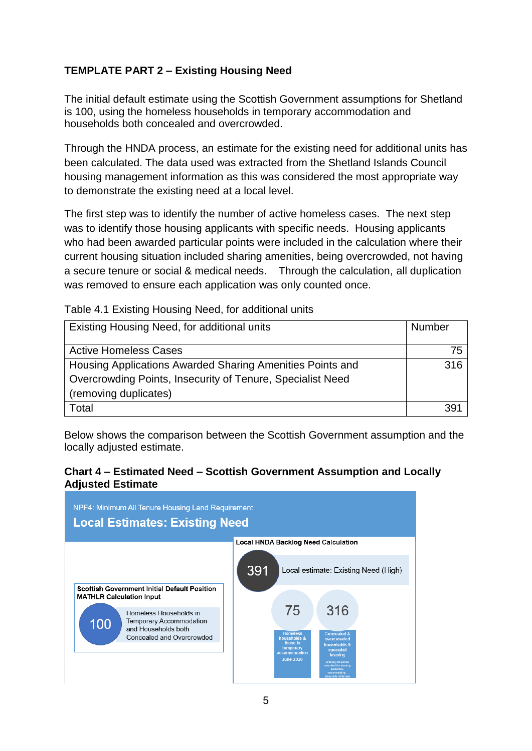# **TEMPLATE PART 2 – Existing Housing Need**

The initial default estimate using the Scottish Government assumptions for Shetland is 100, using the homeless households in temporary accommodation and households both concealed and overcrowded.

Through the HNDA process, an estimate for the existing need for additional units has been calculated. The data used was extracted from the Shetland Islands Council housing management information as this was considered the most appropriate way to demonstrate the existing need at a local level.

The first step was to identify the number of active homeless cases. The next step was to identify those housing applicants with specific needs. Housing applicants who had been awarded particular points were included in the calculation where their current housing situation included sharing amenities, being overcrowded, not having a secure tenure or social & medical needs. Through the calculation, all duplication was removed to ensure each application was only counted once.

Table 4.1 Existing Housing Need, for additional units

| Existing Housing Need, for additional units                | Number |
|------------------------------------------------------------|--------|
|                                                            |        |
| <b>Active Homeless Cases</b>                               | 75     |
| Housing Applications Awarded Sharing Amenities Points and  | 316    |
| Overcrowding Points, Insecurity of Tenure, Specialist Need |        |
| (removing duplicates)                                      |        |
| Total                                                      | 391    |

Below shows the comparison between the Scottish Government assumption and the locally adjusted estimate.

#### **Chart 4 – Estimated Need – Scottish Government Assumption and Locally Adjusted Estimate**

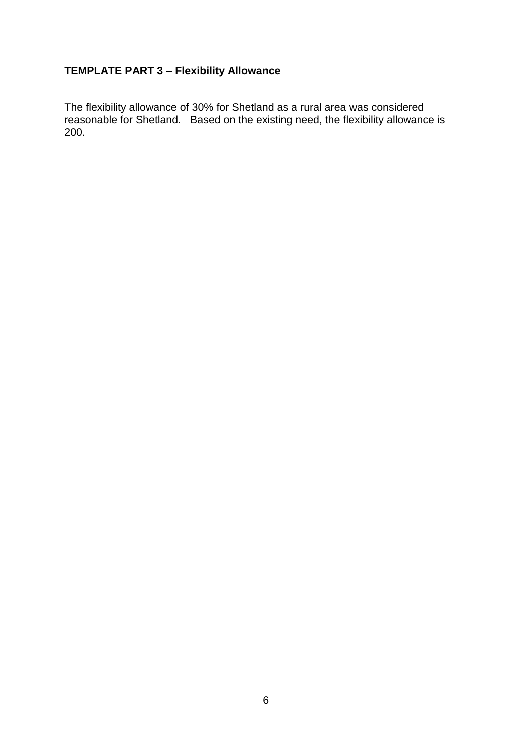# **TEMPLATE PART 3 – Flexibility Allowance**

The flexibility allowance of 30% for Shetland as a rural area was considered reasonable for Shetland. Based on the existing need, the flexibility allowance is 200.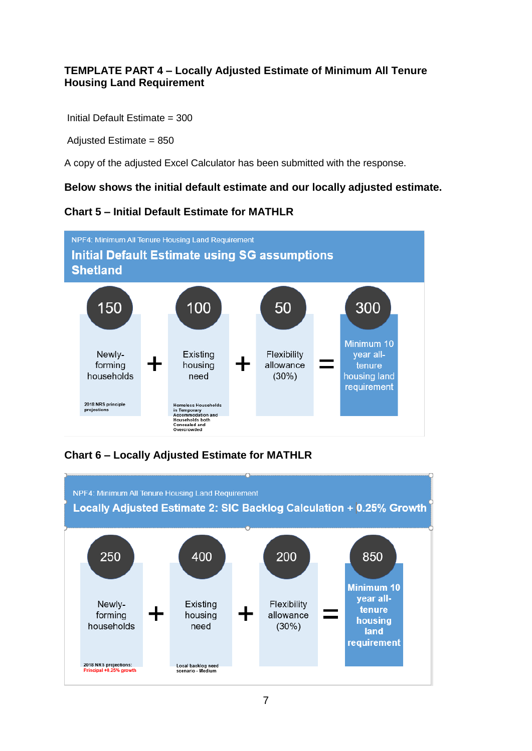### **TEMPLATE PART 4 – Locally Adjusted Estimate of Minimum All Tenure Housing Land Requirement**

Initial Default Estimate = 300

Adjusted Estimate = 850

A copy of the adjusted Excel Calculator has been submitted with the response.

#### **Below shows the initial default estimate and our locally adjusted estimate.**

## **Chart 5 – Initial Default Estimate for MATHLR**



# **Chart 6 – Locally Adjusted Estimate for MATHLR**

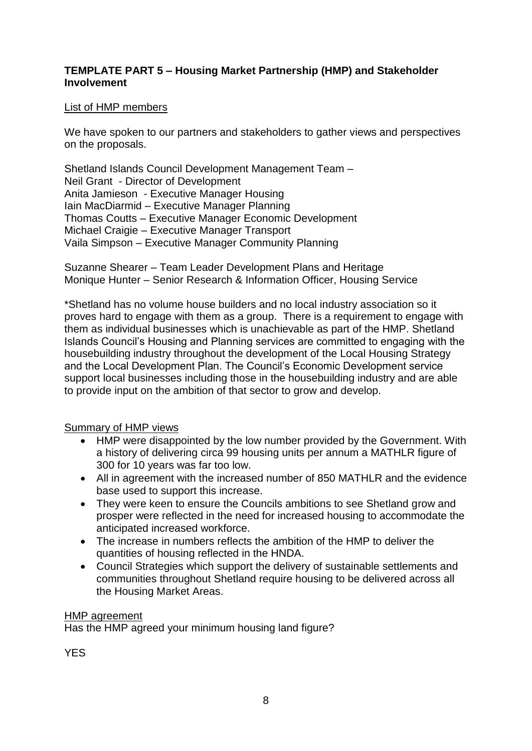#### **TEMPLATE PART 5 – Housing Market Partnership (HMP) and Stakeholder Involvement**

#### List of HMP members

We have spoken to our partners and stakeholders to gather views and perspectives on the proposals.

Shetland Islands Council Development Management Team – Neil Grant - Director of Development Anita Jamieson - Executive Manager Housing Iain MacDiarmid – Executive Manager Planning Thomas Coutts – Executive Manager Economic Development Michael Craigie – Executive Manager Transport Vaila Simpson – Executive Manager Community Planning

Suzanne Shearer – Team Leader Development Plans and Heritage Monique Hunter – Senior Research & Information Officer, Housing Service

\*Shetland has no volume house builders and no local industry association so it proves hard to engage with them as a group. There is a requirement to engage with them as individual businesses which is unachievable as part of the HMP. Shetland Islands Council's Housing and Planning services are committed to engaging with the housebuilding industry throughout the development of the Local Housing Strategy and the Local Development Plan. The Council's Economic Development service support local businesses including those in the housebuilding industry and are able to provide input on the ambition of that sector to grow and develop.

#### Summary of HMP views

- HMP were disappointed by the low number provided by the Government. With a history of delivering circa 99 housing units per annum a MATHLR figure of 300 for 10 years was far too low.
- All in agreement with the increased number of 850 MATHLR and the evidence base used to support this increase.
- They were keen to ensure the Councils ambitions to see Shetland grow and prosper were reflected in the need for increased housing to accommodate the anticipated increased workforce.
- The increase in numbers reflects the ambition of the HMP to deliver the quantities of housing reflected in the HNDA.
- Council Strategies which support the delivery of sustainable settlements and communities throughout Shetland require housing to be delivered across all the Housing Market Areas.

#### HMP agreement

Has the HMP agreed your minimum housing land figure?

**YES**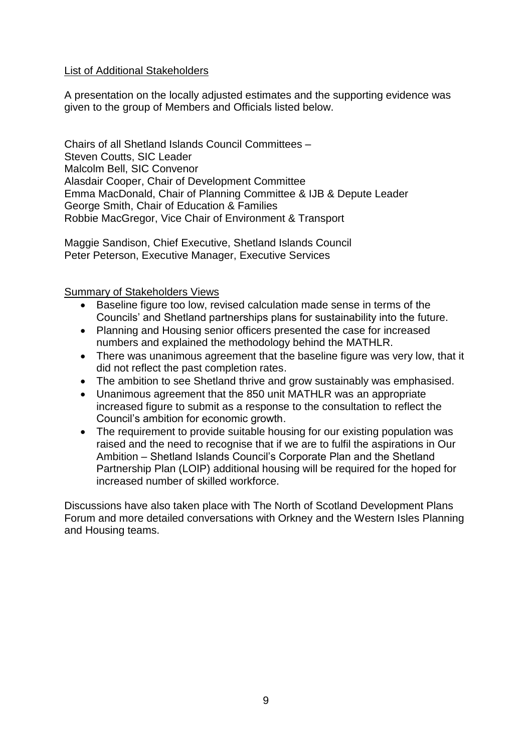#### List of Additional Stakeholders

A presentation on the locally adjusted estimates and the supporting evidence was given to the group of Members and Officials listed below.

Chairs of all Shetland Islands Council Committees – Steven Coutts, SIC Leader Malcolm Bell, SIC Convenor Alasdair Cooper, Chair of Development Committee Emma MacDonald, Chair of Planning Committee & IJB & Depute Leader George Smith, Chair of Education & Families Robbie MacGregor, Vice Chair of Environment & Transport

Maggie Sandison, Chief Executive, Shetland Islands Council Peter Peterson, Executive Manager, Executive Services

Summary of Stakeholders Views

- Baseline figure too low, revised calculation made sense in terms of the Councils' and Shetland partnerships plans for sustainability into the future.
- Planning and Housing senior officers presented the case for increased numbers and explained the methodology behind the MATHLR.
- There was unanimous agreement that the baseline figure was very low, that it did not reflect the past completion rates.
- The ambition to see Shetland thrive and grow sustainably was emphasised.
- Unanimous agreement that the 850 unit MATHLR was an appropriate increased figure to submit as a response to the consultation to reflect the Council's ambition for economic growth.
- The requirement to provide suitable housing for our existing population was raised and the need to recognise that if we are to fulfil the aspirations in Our Ambition – Shetland Islands Council's Corporate Plan and the Shetland Partnership Plan (LOIP) additional housing will be required for the hoped for increased number of skilled workforce.

Discussions have also taken place with The North of Scotland Development Plans Forum and more detailed conversations with Orkney and the Western Isles Planning and Housing teams.